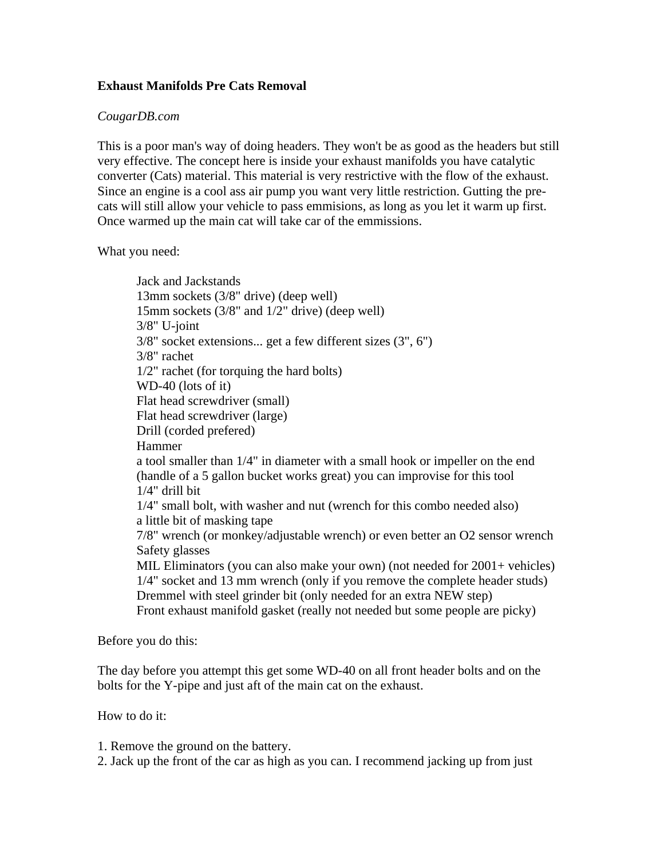## **Exhaust Manifolds Pre Cats Removal**

## *CougarDB.com*

This is a poor man's way of doing headers. They won't be as good as the headers but still very effective. The concept here is inside your exhaust manifolds you have catalytic converter (Cats) material. This material is very restrictive with the flow of the exhaust. Since an engine is a cool ass air pump you want very little restriction. Gutting the precats will still allow your vehicle to pass emmisions, as long as you let it warm up first. Once warmed up the main cat will take car of the emmissions.

What you need:

Jack and Jackstands 13mm sockets (3/8" drive) (deep well) 15mm sockets (3/8" and 1/2" drive) (deep well) 3/8" U-joint 3/8" socket extensions... get a few different sizes (3", 6") 3/8" rachet 1/2" rachet (for torquing the hard bolts) WD-40 (lots of it) Flat head screwdriver (small) Flat head screwdriver (large) Drill (corded prefered) Hammer a tool smaller than 1/4" in diameter with a small hook or impeller on the end (handle of a 5 gallon bucket works great) you can improvise for this tool 1/4" drill bit 1/4" small bolt, with washer and nut (wrench for this combo needed also) a little bit of masking tape 7/8" wrench (or monkey/adjustable wrench) or even better an O2 sensor wrench Safety glasses MIL Eliminators (you can also make your own) (not needed for 2001+ vehicles) 1/4" socket and 13 mm wrench (only if you remove the complete header studs) Dremmel with steel grinder bit (only needed for an extra NEW step) Front exhaust manifold gasket (really not needed but some people are picky)

Before you do this:

The day before you attempt this get some WD-40 on all front header bolts and on the bolts for the Y-pipe and just aft of the main cat on the exhaust.

How to do it:

1. Remove the ground on the battery.

2. Jack up the front of the car as high as you can. I recommend jacking up from just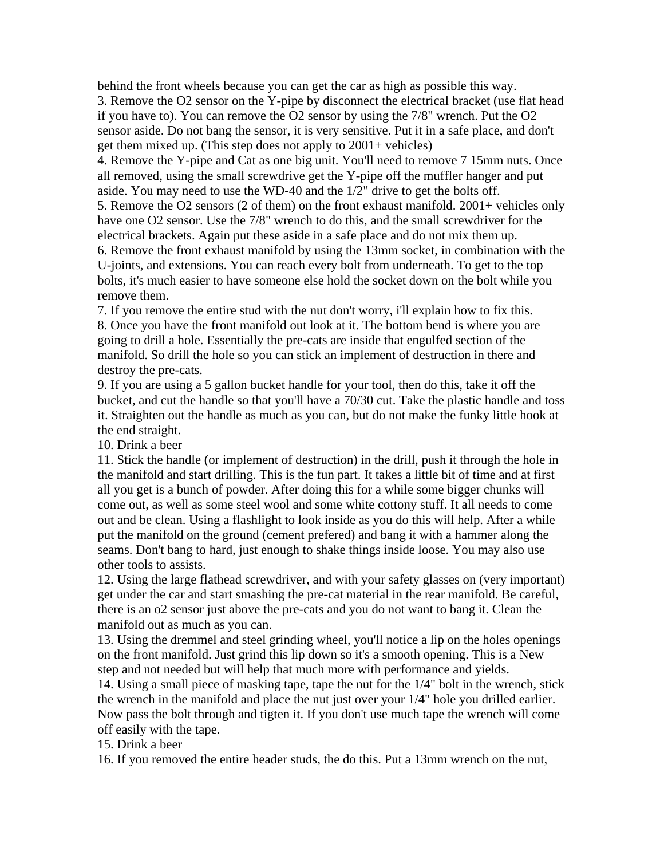behind the front wheels because you can get the car as high as possible this way.

3. Remove the O2 sensor on the Y-pipe by disconnect the electrical bracket (use flat head if you have to). You can remove the O2 sensor by using the 7/8" wrench. Put the O2 sensor aside. Do not bang the sensor, it is very sensitive. Put it in a safe place, and don't get them mixed up. (This step does not apply to 2001+ vehicles)

4. Remove the Y-pipe and Cat as one big unit. You'll need to remove 7 15mm nuts. Once all removed, using the small screwdrive get the Y-pipe off the muffler hanger and put aside. You may need to use the WD-40 and the 1/2" drive to get the bolts off.

5. Remove the O2 sensors (2 of them) on the front exhaust manifold. 2001+ vehicles only have one O2 sensor. Use the 7/8" wrench to do this, and the small screwdriver for the electrical brackets. Again put these aside in a safe place and do not mix them up.

6. Remove the front exhaust manifold by using the 13mm socket, in combination with the U-joints, and extensions. You can reach every bolt from underneath. To get to the top bolts, it's much easier to have someone else hold the socket down on the bolt while you remove them.

7. If you remove the entire stud with the nut don't worry, i'll explain how to fix this. 8. Once you have the front manifold out look at it. The bottom bend is where you are going to drill a hole. Essentially the pre-cats are inside that engulfed section of the manifold. So drill the hole so you can stick an implement of destruction in there and destroy the pre-cats.

9. If you are using a 5 gallon bucket handle for your tool, then do this, take it off the bucket, and cut the handle so that you'll have a 70/30 cut. Take the plastic handle and toss it. Straighten out the handle as much as you can, but do not make the funky little hook at the end straight.

10. Drink a beer

11. Stick the handle (or implement of destruction) in the drill, push it through the hole in the manifold and start drilling. This is the fun part. It takes a little bit of time and at first all you get is a bunch of powder. After doing this for a while some bigger chunks will come out, as well as some steel wool and some white cottony stuff. It all needs to come out and be clean. Using a flashlight to look inside as you do this will help. After a while put the manifold on the ground (cement prefered) and bang it with a hammer along the seams. Don't bang to hard, just enough to shake things inside loose. You may also use other tools to assists.

12. Using the large flathead screwdriver, and with your safety glasses on (very important) get under the car and start smashing the pre-cat material in the rear manifold. Be careful, there is an o2 sensor just above the pre-cats and you do not want to bang it. Clean the manifold out as much as you can.

13. Using the dremmel and steel grinding wheel, you'll notice a lip on the holes openings on the front manifold. Just grind this lip down so it's a smooth opening. This is a New step and not needed but will help that much more with performance and yields.

14. Using a small piece of masking tape, tape the nut for the 1/4" bolt in the wrench, stick the wrench in the manifold and place the nut just over your 1/4" hole you drilled earlier. Now pass the bolt through and tigten it. If you don't use much tape the wrench will come off easily with the tape.

15. Drink a beer

16. If you removed the entire header studs, the do this. Put a 13mm wrench on the nut,